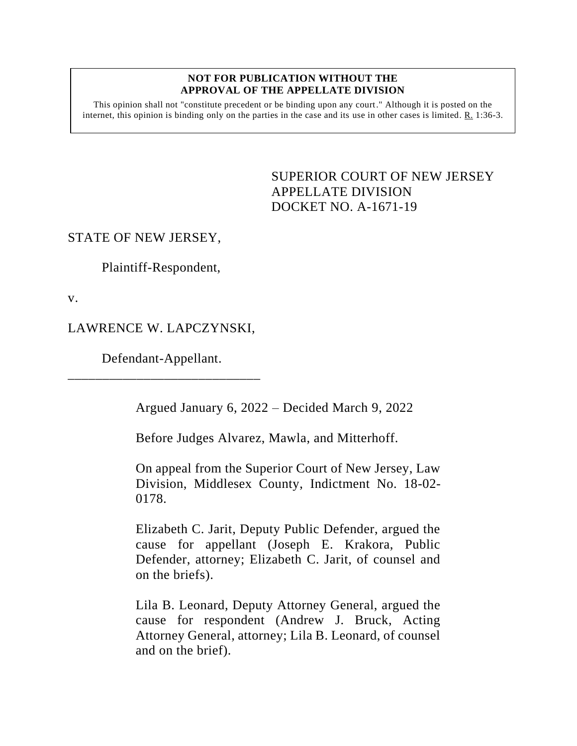#### **NOT FOR PUBLICATION WITHOUT THE APPROVAL OF THE APPELLATE DIVISION**

This opinion shall not "constitute precedent or be binding upon any court." Although it is posted on the internet, this opinion is binding only on the parties in the case and its use in other cases is limited.  $R_1$  1:36-3.

> <span id="page-0-0"></span>SUPERIOR COURT OF NEW JERSEY APPELLATE DIVISION DOCKET NO. A-1671-19

### STATE OF NEW JERSEY,

Plaintiff-Respondent,

v.

## LAWRENCE W. LAPCZYNSKI,

Defendant-Appellant. \_\_\_\_\_\_\_\_\_\_\_\_\_\_\_\_\_\_\_\_\_\_\_\_\_\_\_\_

Argued January 6, 2022 – Decided March 9, 2022

Before Judges Alvarez, Mawla, and Mitterhoff.

On appeal from the Superior Court of New Jersey, Law Division, Middlesex County, Indictment No. 18-02- 0178.

Elizabeth C. Jarit, Deputy Public Defender, argued the cause for appellant (Joseph E. Krakora, Public Defender, attorney; Elizabeth C. Jarit, of counsel and on the briefs).

Lila B. Leonard, Deputy Attorney General, argued the cause for respondent (Andrew J. Bruck, Acting Attorney General, attorney; Lila B. Leonard, of counsel and on the brief).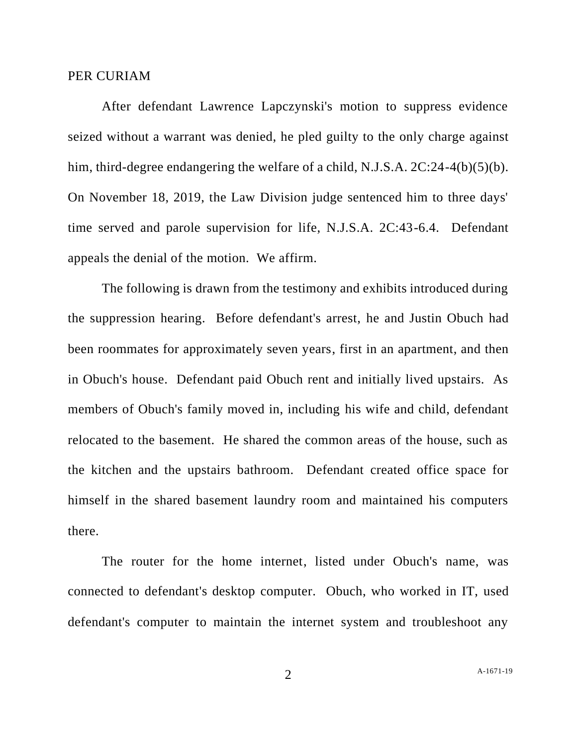#### PER CURIAM

After defendant Lawrence Lapczynski's motion to suppress evidence seized without a warrant was denied, he pled guilty to the only charge against him, third-degree endangering the welfare of a child, N.J.S.A. 2C:24-4(b)(5)(b). On November 18, 2019, the Law Division judge sentenced him to three days' time served and parole supervision for life, N.J.S.A. 2C:43-6.4. Defendant appeals the denial of the motion. We affirm.

The following is drawn from the testimony and exhibits introduced during the suppression hearing. Before defendant's arrest, he and Justin Obuch had been roommates for approximately seven years, first in an apartment, and then in Obuch's house. Defendant paid Obuch rent and initially lived upstairs. As members of Obuch's family moved in, including his wife and child, defendant relocated to the basement. He shared the common areas of the house, such as the kitchen and the upstairs bathroom. Defendant created office space for himself in the shared basement laundry room and maintained his computers there.

The router for the home internet, listed under Obuch's name, was connected to defendant's desktop computer. Obuch, who worked in IT, used defendant's computer to maintain the internet system and troubleshoot any

2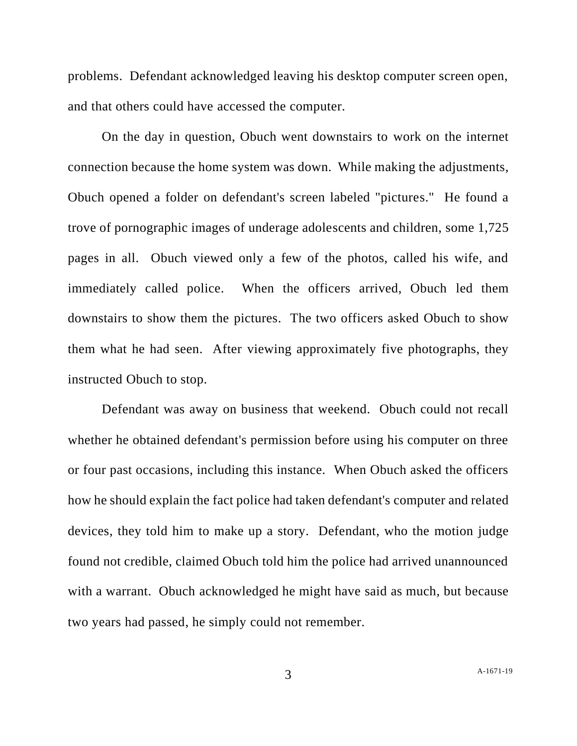problems. Defendant acknowledged leaving his desktop computer screen open, and that others could have accessed the computer.

On the day in question, Obuch went downstairs to work on the internet connection because the home system was down. While making the adjustments, Obuch opened a folder on defendant's screen labeled "pictures." He found a trove of pornographic images of underage adolescents and children, some 1,725 pages in all. Obuch viewed only a few of the photos, called his wife, and immediately called police. When the officers arrived, Obuch led them downstairs to show them the pictures. The two officers asked Obuch to show them what he had seen. After viewing approximately five photographs, they instructed Obuch to stop.

Defendant was away on business that weekend. Obuch could not recall whether he obtained defendant's permission before using his computer on three or four past occasions, including this instance. When Obuch asked the officers how he should explain the fact police had taken defendant's computer and related devices, they told him to make up a story. Defendant, who the motion judge found not credible, claimed Obuch told him the police had arrived unannounced with a warrant. Obuch acknowledged he might have said as much, but because two years had passed, he simply could not remember.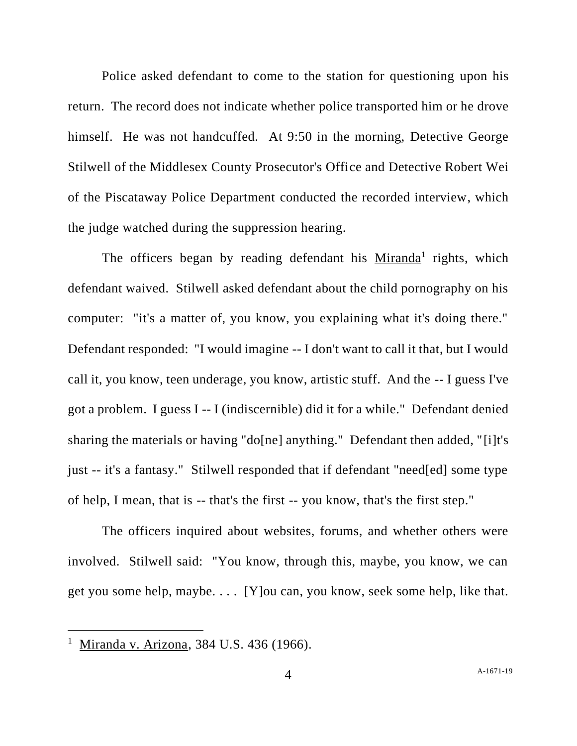Police asked defendant to come to the station for questioning upon his return. The record does not indicate whether police transported him or he drove himself. He was not handcuffed. At 9:50 in the morning, Detective George Stilwell of the Middlesex County Prosecutor's Office and Detective Robert Wei of the Piscataway Police Department conducted the recorded interview, which the judge watched during the suppression hearing.

The officers began by reading defendant his Miranda<sup>1</sup> rights, which defendant waived. Stilwell asked defendant about the child pornography on his computer: "it's a matter of, you know, you explaining what it's doing there." Defendant responded: "I would imagine -- I don't want to call it that, but I would call it, you know, teen underage, you know, artistic stuff. And the -- I guess I've got a problem. I guess I -- I (indiscernible) did it for a while." Defendant denied sharing the materials or having "do[ne] anything." Defendant then added, "[i]t's just -- it's a fantasy." Stilwell responded that if defendant "need[ed] some type of help, I mean, that is -- that's the first -- you know, that's the first step."

The officers inquired about websites, forums, and whether others were involved. Stilwell said: "You know, through this, maybe, you know, we can get you some help, maybe. . . . [Y]ou can, you know, seek some help, like that.

<sup>&</sup>lt;sup>1</sup> Miranda v. Arizona, 384 U.S. 436 (1966).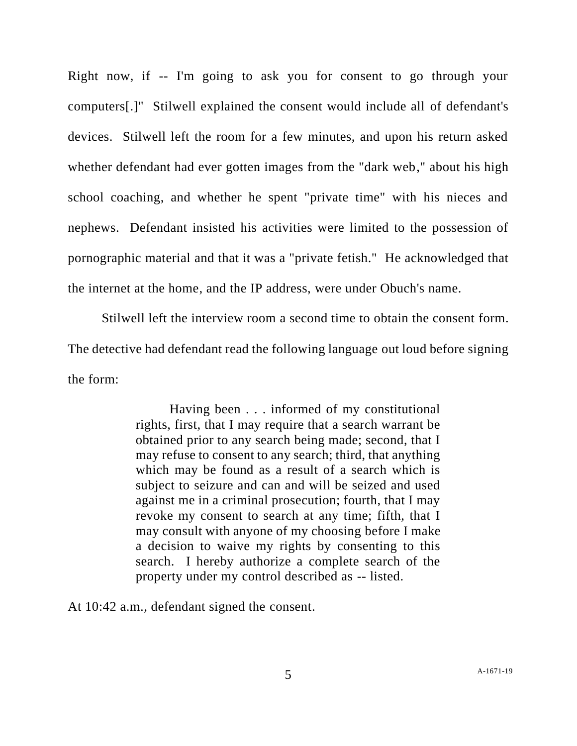Right now, if -- I'm going to ask you for consent to go through your computers[.]" Stilwell explained the consent would include all of defendant's devices. Stilwell left the room for a few minutes, and upon his return asked whether defendant had ever gotten images from the "dark web," about his high school coaching, and whether he spent "private time" with his nieces and nephews. Defendant insisted his activities were limited to the possession of pornographic material and that it was a "private fetish." He acknowledged that the internet at the home, and the IP address, were under Obuch's name.

Stilwell left the interview room a second time to obtain the consent form. The detective had defendant read the following language out loud before signing the form:

> Having been . . . informed of my constitutional rights, first, that I may require that a search warrant be obtained prior to any search being made; second, that I may refuse to consent to any search; third, that anything which may be found as a result of a search which is subject to seizure and can and will be seized and used against me in a criminal prosecution; fourth, that I may revoke my consent to search at any time; fifth, that I may consult with anyone of my choosing before I make a decision to waive my rights by consenting to this search. I hereby authorize a complete search of the property under my control described as -- listed.

At 10:42 a.m., defendant signed the consent.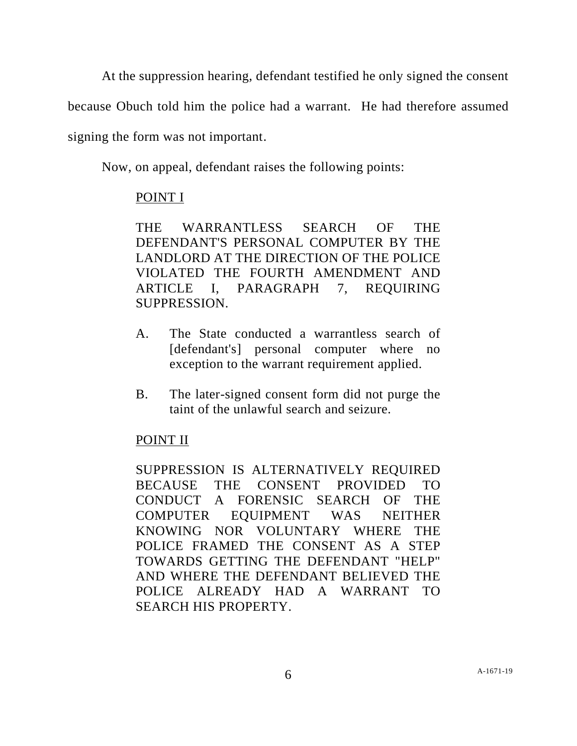At the suppression hearing, defendant testified he only signed the consent

because Obuch told him the police had a warrant. He had therefore assumed

signing the form was not important.

Now, on appeal, defendant raises the following points:

## POINT I

THE WARRANTLESS SEARCH OF THE DEFENDANT'S PERSONAL COMPUTER BY THE LANDLORD AT THE DIRECTION OF THE POLICE VIOLATED THE FOURTH AMENDMENT AND ARTICLE I, PARAGRAPH 7, REQUIRING SUPPRESSION.

- A. The State conducted a warrantless search of [defendant's] personal computer where no exception to the warrant requirement applied.
- B. The later-signed consent form did not purge the taint of the unlawful search and seizure.

# POINT II

SUPPRESSION IS ALTERNATIVELY REQUIRED BECAUSE THE CONSENT PROVIDED TO CONDUCT A FORENSIC SEARCH OF THE COMPUTER EQUIPMENT WAS NEITHER KNOWING NOR VOLUNTARY WHERE THE POLICE FRAMED THE CONSENT AS A STEP TOWARDS GETTING THE DEFENDANT "HELP" AND WHERE THE DEFENDANT BELIEVED THE POLICE ALREADY HAD A WARRANT TO SEARCH HIS PROPERTY.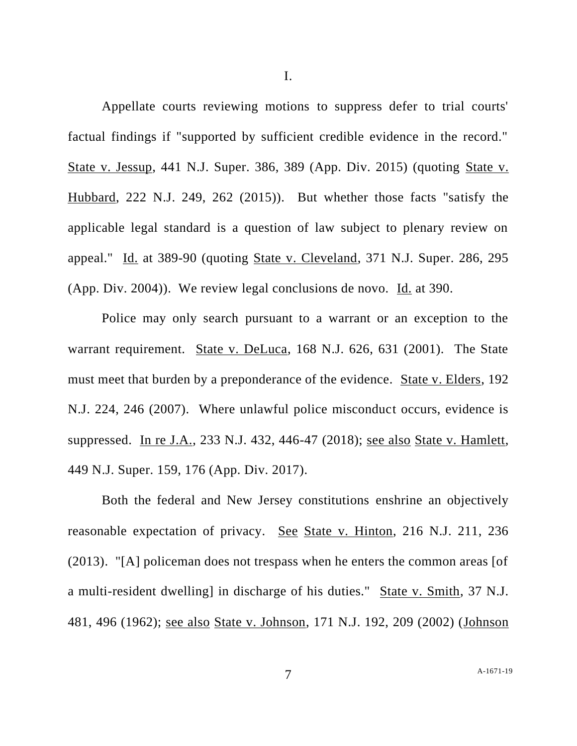I.

Appellate courts reviewing motions to suppress defer to trial courts' factual findings if "supported by sufficient credible evidence in the record." State v. Jessup, 441 N.J. Super. 386, 389 (App. Div. 2015) (quoting State v. Hubbard, 222 N.J. 249, 262 (2015)). But whether those facts "satisfy the applicable legal standard is a question of law subject to plenary review on appeal." Id. at 389-90 (quoting State v. Cleveland, 371 N.J. Super. 286, 295 (App. Div. 2004)). We review legal conclusions de novo. Id. at 390.

Police may only search pursuant to a warrant or an exception to the warrant requirement. State v. DeLuca, 168 N.J. 626, 631 (2001). The State must meet that burden by a preponderance of the evidence. State v. Elders, 192 N.J. 224, 246 (2007). Where unlawful police misconduct occurs, evidence is suppressed. In re J.A., 233 N.J. 432, 446-47 (2018); see also State v. Hamlett, 449 N.J. Super. 159, 176 (App. Div. 2017).

Both the federal and New Jersey constitutions enshrine an objectively reasonable expectation of privacy. See State v. Hinton, 216 N.J. 211, 236 (2013). "[A] policeman does not trespass when he enters the common areas [of a multi-resident dwelling] in discharge of his duties." State v. Smith, 37 N.J. 481, 496 (1962); see also State v. Johnson, 171 N.J. 192, 209 (2002) (Johnson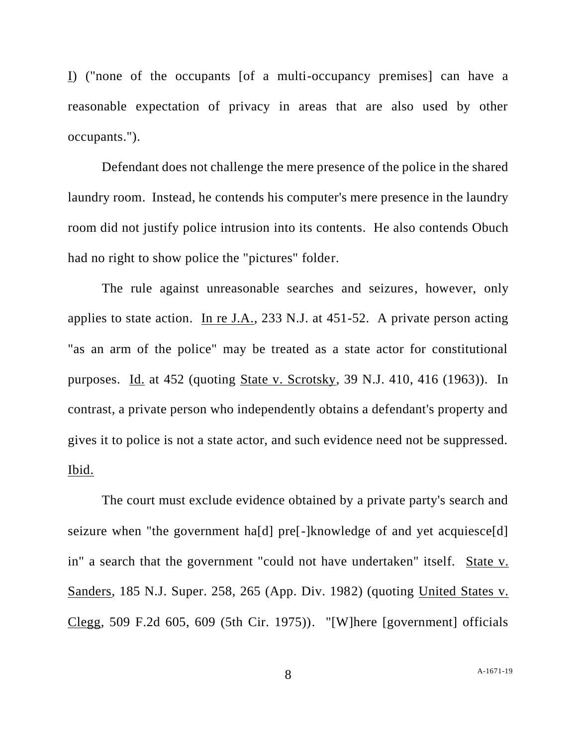I) ("none of the occupants [of a multi-occupancy premises] can have a reasonable expectation of privacy in areas that are also used by other occupants.").

Defendant does not challenge the mere presence of the police in the shared laundry room. Instead, he contends his computer's mere presence in the laundry room did not justify police intrusion into its contents. He also contends Obuch had no right to show police the "pictures" folder.

The rule against unreasonable searches and seizures, however, only applies to state action. In re J.A., 233 N.J. at 451-52. A private person acting "as an arm of the police" may be treated as a state actor for constitutional purposes. Id. at 452 (quoting State v. Scrotsky, 39 N.J. 410, 416 (1963)). In contrast, a private person who independently obtains a defendant's property and gives it to police is not a state actor, and such evidence need not be suppressed. Ibid.

The court must exclude evidence obtained by a private party's search and seizure when "the government ha[d] pre<sup>[-</sup>]knowledge of and yet acquiesce<sup>[d]</sup> in" a search that the government "could not have undertaken" itself. State v. Sanders, 185 N.J. Super. 258, 265 (App. Div. 1982) (quoting United States v. Clegg, 509 F.2d 605, 609 (5th Cir. 1975)). "[W]here [government] officials

A[-1671-19](#page-0-0)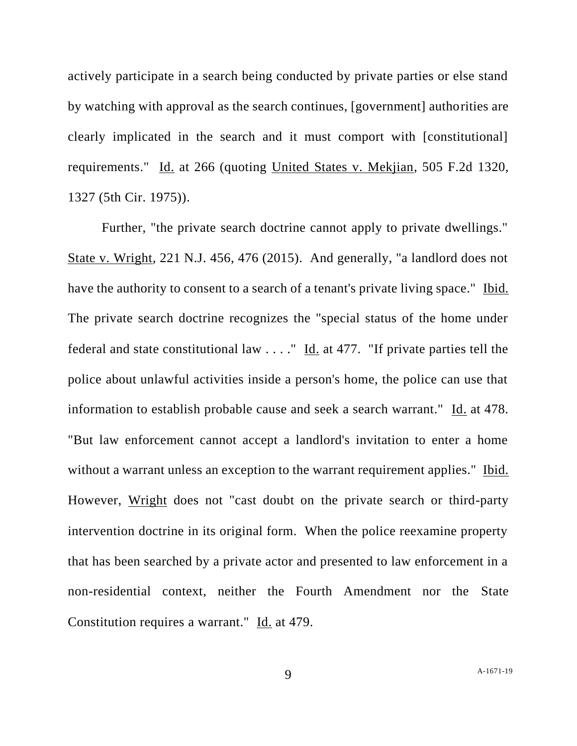actively participate in a search being conducted by private parties or else stand by watching with approval as the search continues, [government] authorities are clearly implicated in the search and it must comport with [constitutional] requirements." Id. at 266 (quoting United States v. Mekjian, 505 F.2d 1320, 1327 (5th Cir. 1975)).

Further, "the private search doctrine cannot apply to private dwellings." State v. Wright, 221 N.J. 456, 476 (2015). And generally, "a landlord does not have the authority to consent to a search of a tenant's private living space." Ibid. The private search doctrine recognizes the "special status of the home under federal and state constitutional law . . . ." Id. at 477. "If private parties tell the police about unlawful activities inside a person's home, the police can use that information to establish probable cause and seek a search warrant." Id. at 478. "But law enforcement cannot accept a landlord's invitation to enter a home without a warrant unless an exception to the warrant requirement applies." Ibid. However, Wright does not "cast doubt on the private search or third-party intervention doctrine in its original form. When the police reexamine property that has been searched by a private actor and presented to law enforcement in a non-residential context, neither the Fourth Amendment nor the State Constitution requires a warrant." Id. at 479.

9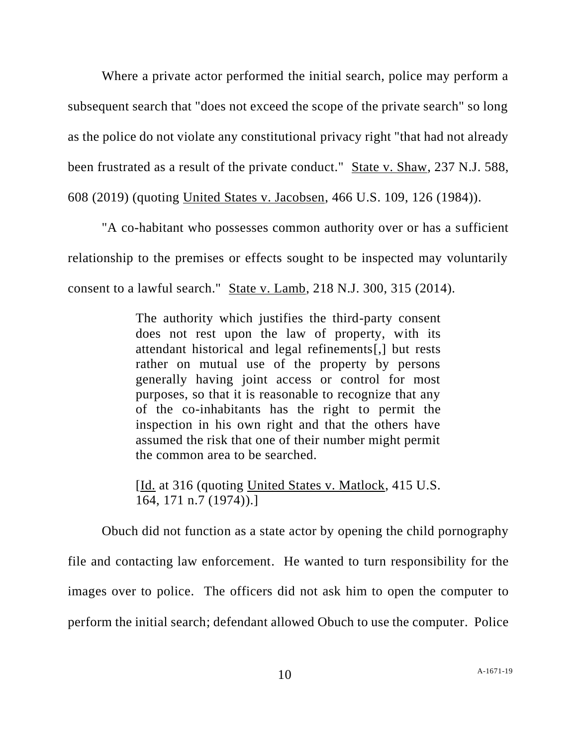Where a private actor performed the initial search, police may perform a subsequent search that "does not exceed the scope of the private search" so long as the police do not violate any constitutional privacy right "that had not already been frustrated as a result of the private conduct." State v. Shaw, 237 N.J. 588, 608 (2019) (quoting United States v. Jacobsen, 466 U.S. 109, 126 (1984)).

"A co-habitant who possesses common authority over or has a sufficient relationship to the premises or effects sought to be inspected may voluntarily consent to a lawful search." State v. Lamb, 218 N.J. 300, 315 (2014).

> The authority which justifies the third-party consent does not rest upon the law of property, with its attendant historical and legal refinements[,] but rests rather on mutual use of the property by persons generally having joint access or control for most purposes, so that it is reasonable to recognize that any of the co-inhabitants has the right to permit the inspection in his own right and that the others have assumed the risk that one of their number might permit the common area to be searched.

> [Id. at 316 (quoting United States v. Matlock, 415 U.S. 164, 171 n.7 (1974)).]

Obuch did not function as a state actor by opening the child pornography file and contacting law enforcement. He wanted to turn responsibility for the images over to police. The officers did not ask him to open the computer to perform the initial search; defendant allowed Obuch to use the computer. Police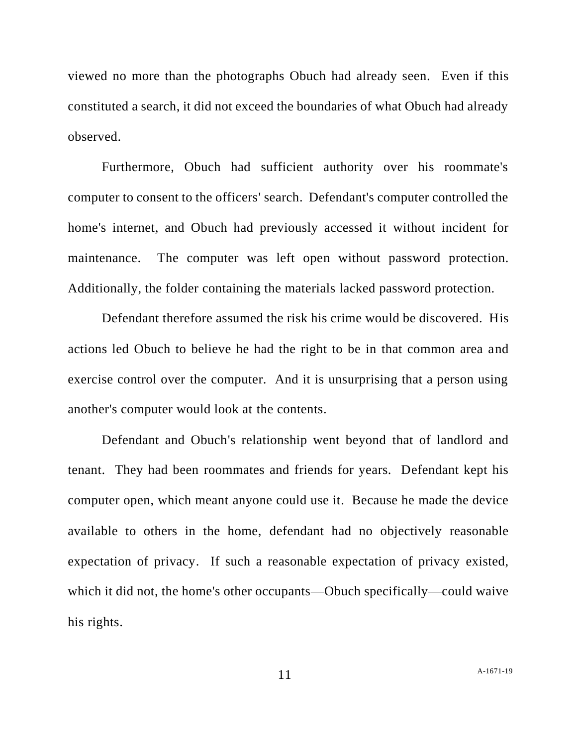viewed no more than the photographs Obuch had already seen. Even if this constituted a search, it did not exceed the boundaries of what Obuch had already observed.

Furthermore, Obuch had sufficient authority over his roommate's computer to consent to the officers' search. Defendant's computer controlled the home's internet, and Obuch had previously accessed it without incident for maintenance. The computer was left open without password protection. Additionally, the folder containing the materials lacked password protection.

Defendant therefore assumed the risk his crime would be discovered. His actions led Obuch to believe he had the right to be in that common area and exercise control over the computer. And it is unsurprising that a person using another's computer would look at the contents.

Defendant and Obuch's relationship went beyond that of landlord and tenant. They had been roommates and friends for years. Defendant kept his computer open, which meant anyone could use it. Because he made the device available to others in the home, defendant had no objectively reasonable expectation of privacy. If such a reasonable expectation of privacy existed, which it did not, the home's other occupants—Obuch specifically—could waive his rights.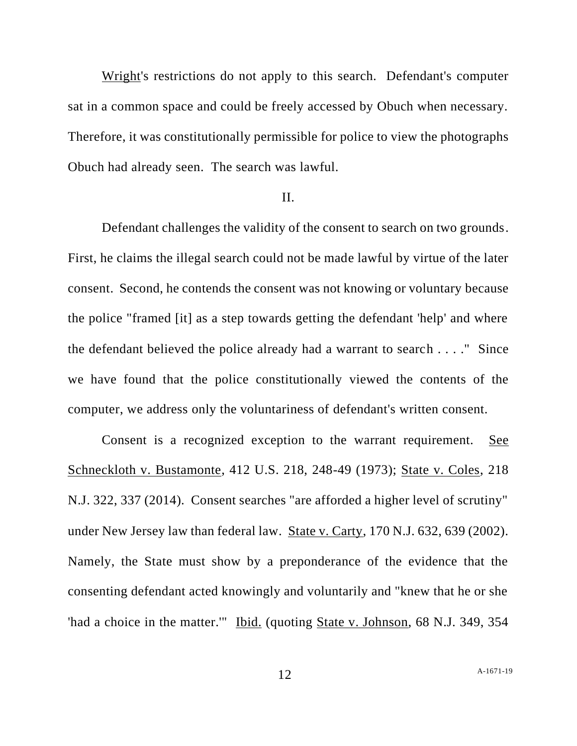Wright's restrictions do not apply to this search. Defendant's computer sat in a common space and could be freely accessed by Obuch when necessary. Therefore, it was constitutionally permissible for police to view the photographs Obuch had already seen. The search was lawful.

### II.

Defendant challenges the validity of the consent to search on two grounds. First, he claims the illegal search could not be made lawful by virtue of the later consent. Second, he contends the consent was not knowing or voluntary because the police "framed [it] as a step towards getting the defendant 'help' and where the defendant believed the police already had a warrant to search . . . ." Since we have found that the police constitutionally viewed the contents of the computer, we address only the voluntariness of defendant's written consent.

Consent is a recognized exception to the warrant requirement. See Schneckloth v. Bustamonte, 412 U.S. 218, 248-49 (1973); State v. Coles, 218 N.J. 322, 337 (2014). Consent searches "are afforded a higher level of scrutiny" under New Jersey law than federal law. State v. Carty, 170 N.J. 632, 639 (2002). Namely, the State must show by a preponderance of the evidence that the consenting defendant acted knowingly and voluntarily and "knew that he or she 'had a choice in the matter.'" Ibid. (quoting State v. Johnson, 68 N.J. 349, 354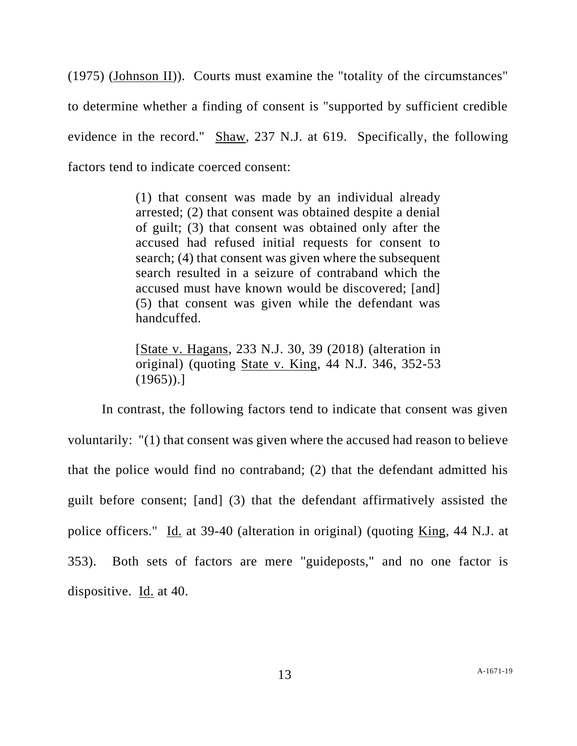(1975) (Johnson II)). Courts must examine the "totality of the circumstances" to determine whether a finding of consent is "supported by sufficient credible evidence in the record." Shaw, 237 N.J. at 619. Specifically, the following factors tend to indicate coerced consent:

> (1) that consent was made by an individual already arrested; (2) that consent was obtained despite a denial of guilt; (3) that consent was obtained only after the accused had refused initial requests for consent to search; (4) that consent was given where the subsequent search resulted in a seizure of contraband which the accused must have known would be discovered; [and] (5) that consent was given while the defendant was handcuffed.

> [State v. Hagans, 233 N.J. 30, 39 (2018) (alteration in original) (quoting State v. King, 44 N.J. 346, 352-53  $(1965)$ .]

In contrast, the following factors tend to indicate that consent was given voluntarily: "(1) that consent was given where the accused had reason to believe that the police would find no contraband; (2) that the defendant admitted his guilt before consent; [and] (3) that the defendant affirmatively assisted the police officers." Id. at 39-40 (alteration in original) (quoting King, 44 N.J. at 353). Both sets of factors are mere "guideposts," and no one factor is dispositive. Id. at 40.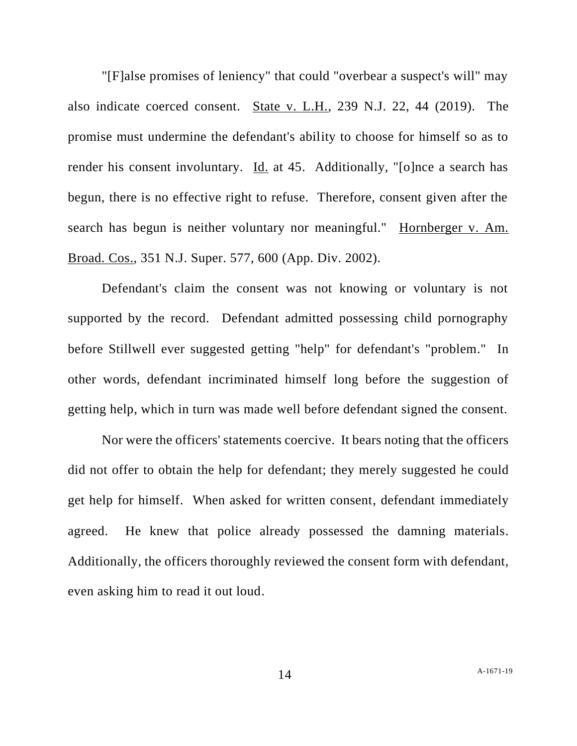"[F]alse promises of leniency" that could "overbear a suspect's will" may also indicate coerced consent. State v. L.H., 239 N.J. 22, 44 (2019). The promise must undermine the defendant's ability to choose for himself so as to render his consent involuntary. Id. at 45. Additionally, "[o]nce a search has begun, there is no effective right to refuse. Therefore, consent given after the search has begun is neither voluntary nor meaningful." Hornberger v. Am. Broad. Cos., 351 N.J. Super. 577, 600 (App. Div. 2002).

Defendant's claim the consent was not knowing or voluntary is not supported by the record. Defendant admitted possessing child pornography before Stillwell ever suggested getting "help" for defendant's "problem." In other words, defendant incriminated himself long before the suggestion of getting help, which in turn was made well before defendant signed the consent.

Nor were the officers' statements coercive. It bears noting that the officers did not offer to obtain the help for defendant; they merely suggested he could get help for himself. When asked for written consent, defendant immediately agreed. He knew that police already possessed the damning materials. Additionally, the officers thoroughly reviewed the consent form with defendant, even asking him to read it out loud.